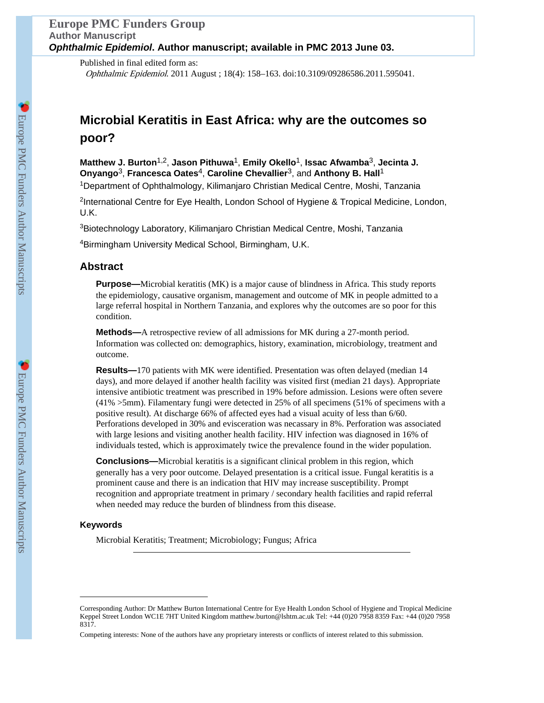# **Europe PMC Funders Group Author Manuscript** *Ophthalmic Epidemiol***. Author manuscript; available in PMC 2013 June 03.**

Published in final edited form as: Ophthalmic Epidemiol. 2011 August ; 18(4): 158–163. doi:10.3109/09286586.2011.595041.

# **Microbial Keratitis in East Africa: why are the outcomes so poor?**

**Matthew J. Burton**1,2, **Jason Pithuwa**1, **Emily Okello**1, **Issac Afwamba**3, **Jecinta J. Onyango**3, **Francesca Oates**4, **Caroline Chevallier**3, and **Anthony B. Hall**<sup>1</sup>

<sup>1</sup>Department of Ophthalmology, Kilimanjaro Christian Medical Centre, Moshi, Tanzania

<sup>2</sup>International Centre for Eye Health, London School of Hygiene & Tropical Medicine, London, U.K.

<sup>3</sup>Biotechnology Laboratory, Kilimanjaro Christian Medical Centre, Moshi, Tanzania

<sup>4</sup>Birmingham University Medical School, Birmingham, U.K.

# **Abstract**

**Purpose—**Microbial keratitis (MK) is a major cause of blindness in Africa. This study reports the epidemiology, causative organism, management and outcome of MK in people admitted to a large referral hospital in Northern Tanzania, and explores why the outcomes are so poor for this condition.

**Methods—**A retrospective review of all admissions for MK during a 27-month period. Information was collected on: demographics, history, examination, microbiology, treatment and outcome.

**Results—**170 patients with MK were identified. Presentation was often delayed (median 14 days), and more delayed if another health facility was visited first (median 21 days). Appropriate intensive antibiotic treatment was prescribed in 19% before admission. Lesions were often severe (41% >5mm). Filamentary fungi were detected in 25% of all specimens (51% of specimens with a positive result). At discharge 66% of affected eyes had a visual acuity of less than 6/60. Perforations developed in 30% and evisceration was necassary in 8%. Perforation was associated with large lesions and visiting another health facility. HIV infection was diagnosed in 16% of individuals tested, which is approximately twice the prevalence found in the wider population.

**Conclusions—**Microbial keratitis is a significant clinical problem in this region, which generally has a very poor outcome. Delayed presentation is a critical issue. Fungal keratitis is a prominent cause and there is an indication that HIV may increase susceptibility. Prompt recognition and appropriate treatment in primary / secondary health facilities and rapid referral when needed may reduce the burden of blindness from this disease.

## **Keywords**

Microbial Keratitis; Treatment; Microbiology; Fungus; Africa

Corresponding Author: Dr Matthew Burton International Centre for Eye Health London School of Hygiene and Tropical Medicine Keppel Street London WC1E 7HT United Kingdom matthew.burton@lshtm.ac.uk Tel: +44 (0)20 7958 8359 Fax: +44 (0)20 7958 8317.

Competing interests: None of the authors have any proprietary interests or conflicts of interest related to this submission.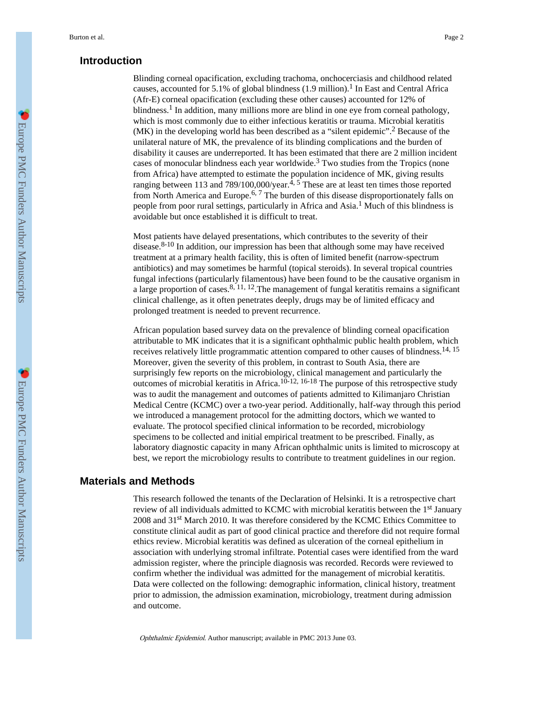# **Introduction**

Blinding corneal opacification, excluding trachoma, onchocerciasis and childhood related causes, accounted for 5.1% of global blindness  $(1.9 \text{ million})$ .<sup>1</sup> In East and Central Africa (Afr-E) corneal opacification (excluding these other causes) accounted for 12% of blindness.<sup>1</sup> In addition, many millions more are blind in one eye from corneal pathology, which is most commonly due to either infectious keratitis or trauma. Microbial keratitis (MK) in the developing world has been described as a "silent epidemic".<sup>2</sup> Because of the unilateral nature of MK, the prevalence of its blinding complications and the burden of disability it causes are underreported. It has been estimated that there are 2 million incident cases of monocular blindness each year worldwide.<sup>3</sup> Two studies from the Tropics (none from Africa) have attempted to estimate the population incidence of MK, giving results ranging between 113 and 789/100,000/year.<sup>4, 5</sup> These are at least ten times those reported from North America and Europe.<sup>6, 7</sup> The burden of this disease disproportionately falls on people from poor rural settings, particularly in Africa and Asia.<sup>1</sup> Much of this blindness is avoidable but once established it is difficult to treat.

Most patients have delayed presentations, which contributes to the severity of their disease. $8-10$  In addition, our impression has been that although some may have received treatment at a primary health facility, this is often of limited benefit (narrow-spectrum antibiotics) and may sometimes be harmful (topical steroids). In several tropical countries fungal infections (particularly filamentous) have been found to be the causative organism in a large proportion of cases.  $8, 11, 12$ . The management of fungal keratitis remains a significant clinical challenge, as it often penetrates deeply, drugs may be of limited efficacy and prolonged treatment is needed to prevent recurrence.

African population based survey data on the prevalence of blinding corneal opacification attributable to MK indicates that it is a significant ophthalmic public health problem, which receives relatively little programmatic attention compared to other causes of blindness.<sup>14, 15</sup> Moreover, given the severity of this problem, in contrast to South Asia, there are surprisingly few reports on the microbiology, clinical management and particularly the outcomes of microbial keratitis in Africa.10-12, 16-18 The purpose of this retrospective study was to audit the management and outcomes of patients admitted to Kilimanjaro Christian Medical Centre (KCMC) over a two-year period. Additionally, half-way through this period we introduced a management protocol for the admitting doctors, which we wanted to evaluate. The protocol specified clinical information to be recorded, microbiology specimens to be collected and initial empirical treatment to be prescribed. Finally, as laboratory diagnostic capacity in many African ophthalmic units is limited to microscopy at best, we report the microbiology results to contribute to treatment guidelines in our region.

# **Materials and Methods**

This research followed the tenants of the Declaration of Helsinki. It is a retrospective chart review of all individuals admitted to KCMC with microbial keratitis between the 1<sup>st</sup> January 2008 and 31st March 2010. It was therefore considered by the KCMC Ethics Committee to constitute clinical audit as part of good clinical practice and therefore did not require formal ethics review. Microbial keratitis was defined as ulceration of the corneal epithelium in association with underlying stromal infiltrate. Potential cases were identified from the ward admission register, where the principle diagnosis was recorded. Records were reviewed to confirm whether the individual was admitted for the management of microbial keratitis. Data were collected on the following: demographic information, clinical history, treatment prior to admission, the admission examination, microbiology, treatment during admission and outcome.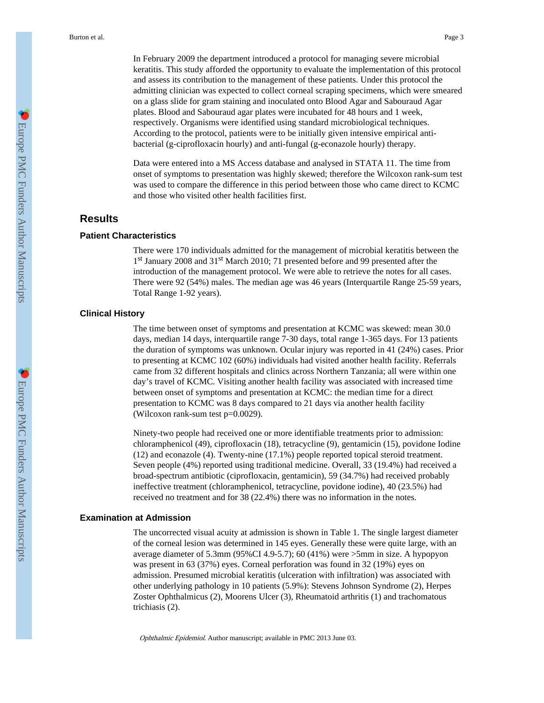In February 2009 the department introduced a protocol for managing severe microbial keratitis. This study afforded the opportunity to evaluate the implementation of this protocol and assess its contribution to the management of these patients. Under this protocol the admitting clinician was expected to collect corneal scraping specimens, which were smeared on a glass slide for gram staining and inoculated onto Blood Agar and Sabouraud Agar plates. Blood and Sabouraud agar plates were incubated for 48 hours and 1 week, respectively. Organisms were identified using standard microbiological techniques. According to the protocol, patients were to be initially given intensive empirical antibacterial (g-ciprofloxacin hourly) and anti-fungal (g-econazole hourly) therapy.

Data were entered into a MS Access database and analysed in STATA 11. The time from onset of symptoms to presentation was highly skewed; therefore the Wilcoxon rank-sum test was used to compare the difference in this period between those who came direct to KCMC and those who visited other health facilities first.

## **Results**

## **Patient Characteristics**

There were 170 individuals admitted for the management of microbial keratitis between the 1<sup>st</sup> January 2008 and 31<sup>st</sup> March 2010; 71 presented before and 99 presented after the introduction of the management protocol. We were able to retrieve the notes for all cases. There were 92 (54%) males. The median age was 46 years (Interquartile Range 25-59 years, Total Range 1-92 years).

#### **Clinical History**

The time between onset of symptoms and presentation at KCMC was skewed: mean 30.0 days, median 14 days, interquartile range 7-30 days, total range 1-365 days. For 13 patients the duration of symptoms was unknown. Ocular injury was reported in 41 (24%) cases. Prior to presenting at KCMC 102 (60%) individuals had visited another health facility. Referrals came from 32 different hospitals and clinics across Northern Tanzania; all were within one day's travel of KCMC. Visiting another health facility was associated with increased time between onset of symptoms and presentation at KCMC: the median time for a direct presentation to KCMC was 8 days compared to 21 days via another health facility (Wilcoxon rank-sum test p=0.0029).

Ninety-two people had received one or more identifiable treatments prior to admission: chloramphenicol (49), ciprofloxacin (18), tetracycline (9), gentamicin (15), povidone Iodine (12) and econazole (4). Twenty-nine (17.1%) people reported topical steroid treatment. Seven people (4%) reported using traditional medicine. Overall, 33 (19.4%) had received a broad-spectrum antibiotic (ciprofloxacin, gentamicin), 59 (34.7%) had received probably ineffective treatment (chloramphenicol, tetracycline, povidone iodine), 40 (23.5%) had received no treatment and for 38 (22.4%) there was no information in the notes.

#### **Examination at Admission**

The uncorrected visual acuity at admission is shown in Table 1. The single largest diameter of the corneal lesion was determined in 145 eyes. Generally these were quite large, with an average diameter of 5.3mm (95%CI 4.9-5.7); 60 (41%) were >5mm in size. A hypopyon was present in 63 (37%) eyes. Corneal perforation was found in 32 (19%) eyes on admission. Presumed microbial keratitis (ulceration with infiltration) was associated with other underlying pathology in 10 patients (5.9%): Stevens Johnson Syndrome (2), Herpes Zoster Ophthalmicus (2), Moorens Ulcer (3), Rheumatoid arthritis (1) and trachomatous trichiasis (2).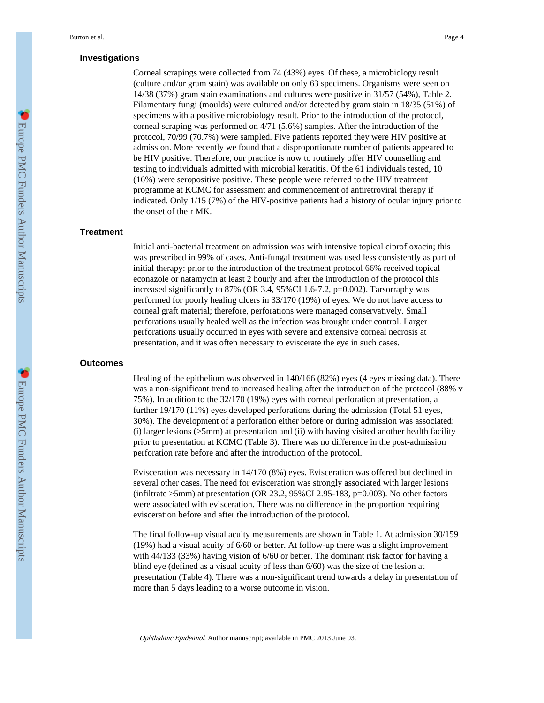#### **Investigations**

Corneal scrapings were collected from 74 (43%) eyes. Of these, a microbiology result (culture and/or gram stain) was available on only 63 specimens. Organisms were seen on 14/38 (37%) gram stain examinations and cultures were positive in 31/57 (54%), Table 2. Filamentary fungi (moulds) were cultured and/or detected by gram stain in 18/35 (51%) of specimens with a positive microbiology result. Prior to the introduction of the protocol, corneal scraping was performed on 4/71 (5.6%) samples. After the introduction of the protocol, 70/99 (70.7%) were sampled. Five patients reported they were HIV positive at admission. More recently we found that a disproportionate number of patients appeared to be HIV positive. Therefore, our practice is now to routinely offer HIV counselling and testing to individuals admitted with microbial keratitis. Of the 61 individuals tested, 10 (16%) were seropositive positive. These people were referred to the HIV treatment programme at KCMC for assessment and commencement of antiretroviral therapy if indicated. Only 1/15 (7%) of the HIV-positive patients had a history of ocular injury prior to the onset of their MK.

#### **Treatment**

Initial anti-bacterial treatment on admission was with intensive topical ciprofloxacin; this was prescribed in 99% of cases. Anti-fungal treatment was used less consistently as part of initial therapy: prior to the introduction of the treatment protocol 66% received topical econazole or natamycin at least 2 hourly and after the introduction of the protocol this increased significantly to 87% (OR 3.4, 95%CI 1.6-7.2,  $p=0.002$ ). Tarsorraphy was performed for poorly healing ulcers in 33/170 (19%) of eyes. We do not have access to corneal graft material; therefore, perforations were managed conservatively. Small perforations usually healed well as the infection was brought under control. Larger perforations usually occurred in eyes with severe and extensive corneal necrosis at presentation, and it was often necessary to eviscerate the eye in such cases.

## **Outcomes**

Healing of the epithelium was observed in 140/166 (82%) eyes (4 eyes missing data). There was a non-significant trend to increased healing after the introduction of the protocol (88% v 75%). In addition to the 32/170 (19%) eyes with corneal perforation at presentation, a further 19/170 (11%) eyes developed perforations during the admission (Total 51 eyes, 30%). The development of a perforation either before or during admission was associated: (i) larger lesions  $(55mm)$  at presentation and (ii) with having visited another health facility prior to presentation at KCMC (Table 3). There was no difference in the post-admission perforation rate before and after the introduction of the protocol.

Evisceration was necessary in 14/170 (8%) eyes. Evisceration was offered but declined in several other cases. The need for evisceration was strongly associated with larger lesions (infiltrate >5mm) at presentation (OR 23.2, 95%CI 2.95-183, p=0.003). No other factors were associated with evisceration. There was no difference in the proportion requiring evisceration before and after the introduction of the protocol.

The final follow-up visual acuity measurements are shown in Table 1. At admission 30/159 (19%) had a visual acuity of 6/60 or better. At follow-up there was a slight improvement with 44/133 (33%) having vision of 6/60 or better. The dominant risk factor for having a blind eye (defined as a visual acuity of less than 6/60) was the size of the lesion at presentation (Table 4). There was a non-significant trend towards a delay in presentation of more than 5 days leading to a worse outcome in vision.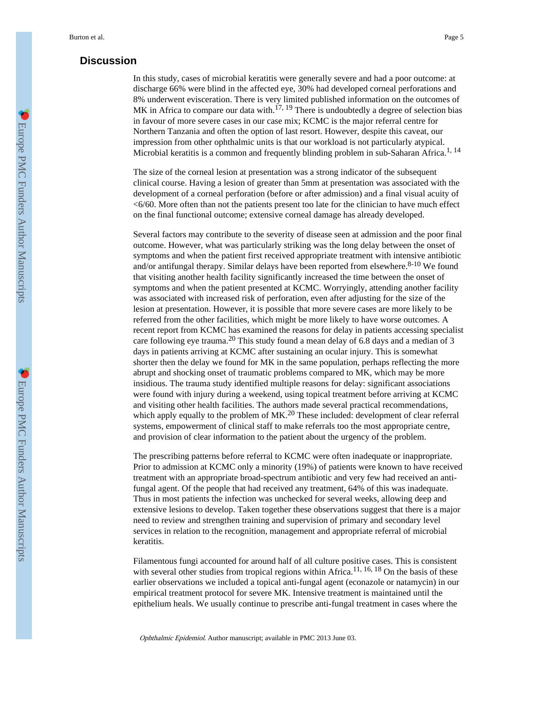# **Discussion**

In this study, cases of microbial keratitis were generally severe and had a poor outcome: at discharge 66% were blind in the affected eye, 30% had developed corneal perforations and 8% underwent evisceration. There is very limited published information on the outcomes of MK in Africa to compare our data with.<sup>17, 19</sup> There is undoubtedly a degree of selection bias in favour of more severe cases in our case mix; KCMC is the major referral centre for Northern Tanzania and often the option of last resort. However, despite this caveat, our impression from other ophthalmic units is that our workload is not particularly atypical. Microbial keratitis is a common and frequently blinding problem in sub-Saharan Africa.<sup>1, 14</sup>

The size of the corneal lesion at presentation was a strong indicator of the subsequent clinical course. Having a lesion of greater than 5mm at presentation was associated with the development of a corneal perforation (before or after admission) and a final visual acuity of <6/60. More often than not the patients present too late for the clinician to have much effect on the final functional outcome; extensive corneal damage has already developed.

Several factors may contribute to the severity of disease seen at admission and the poor final outcome. However, what was particularly striking was the long delay between the onset of symptoms and when the patient first received appropriate treatment with intensive antibiotic and/or antifungal therapy. Similar delays have been reported from elsewhere.<sup>8-10</sup> We found that visiting another health facility significantly increased the time between the onset of symptoms and when the patient presented at KCMC. Worryingly, attending another facility was associated with increased risk of perforation, even after adjusting for the size of the lesion at presentation. However, it is possible that more severe cases are more likely to be referred from the other facilities, which might be more likely to have worse outcomes. A recent report from KCMC has examined the reasons for delay in patients accessing specialist care following eye trauma.<sup>20</sup> This study found a mean delay of 6.8 days and a median of 3 days in patients arriving at KCMC after sustaining an ocular injury. This is somewhat shorter then the delay we found for MK in the same population, perhaps reflecting the more abrupt and shocking onset of traumatic problems compared to MK, which may be more insidious. The trauma study identified multiple reasons for delay: significant associations were found with injury during a weekend, using topical treatment before arriving at KCMC and visiting other health facilities. The authors made several practical recommendations, which apply equally to the problem of  $MK<sup>20</sup>$  These included: development of clear referral systems, empowerment of clinical staff to make referrals too the most appropriate centre, and provision of clear information to the patient about the urgency of the problem.

The prescribing patterns before referral to KCMC were often inadequate or inappropriate. Prior to admission at KCMC only a minority (19%) of patients were known to have received treatment with an appropriate broad-spectrum antibiotic and very few had received an antifungal agent. Of the people that had received any treatment, 64% of this was inadequate. Thus in most patients the infection was unchecked for several weeks, allowing deep and extensive lesions to develop. Taken together these observations suggest that there is a major need to review and strengthen training and supervision of primary and secondary level services in relation to the recognition, management and appropriate referral of microbial keratitis.

Filamentous fungi accounted for around half of all culture positive cases. This is consistent with several other studies from tropical regions within Africa.<sup>11, 16, 18</sup> On the basis of these earlier observations we included a topical anti-fungal agent (econazole or natamycin) in our empirical treatment protocol for severe MK. Intensive treatment is maintained until the epithelium heals. We usually continue to prescribe anti-fungal treatment in cases where the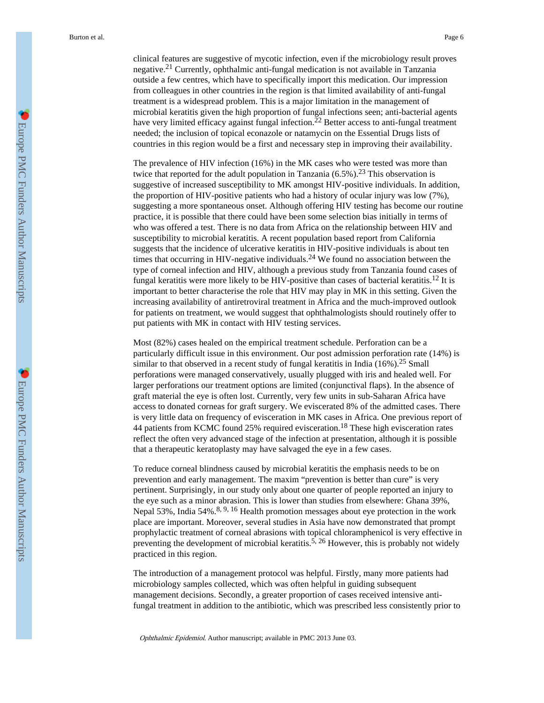from colleagues in other countries in the region is that limited availability of anti-fungal treatment is a widespread problem. This is a major limitation in the management of microbial keratitis given the high proportion of fungal infections seen; anti-bacterial agents have very limited efficacy against fungal infection.<sup>22</sup> Better access to anti-fungal treatment needed; the inclusion of topical econazole or natamycin on the Essential Drugs lists of countries in this region would be a first and necessary step in improving their availability.

The prevalence of HIV infection (16%) in the MK cases who were tested was more than twice that reported for the adult population in Tanzania  $(6.5\%)$ .<sup>23</sup> This observation is suggestive of increased susceptibility to MK amongst HIV-positive individuals. In addition, the proportion of HIV-positive patients who had a history of ocular injury was low (7%), suggesting a more spontaneous onset. Although offering HIV testing has become our routine practice, it is possible that there could have been some selection bias initially in terms of who was offered a test. There is no data from Africa on the relationship between HIV and susceptibility to microbial keratitis. A recent population based report from California suggests that the incidence of ulcerative keratitis in HIV-positive individuals is about ten times that occurring in HIV-negative individuals.<sup>24</sup> We found no association between the type of corneal infection and HIV, although a previous study from Tanzania found cases of fungal keratitis were more likely to be HIV-positive than cases of bacterial keratitis.<sup>12</sup> It is important to better characterise the role that HIV may play in MK in this setting. Given the increasing availability of antiretroviral treatment in Africa and the much-improved outlook for patients on treatment, we would suggest that ophthalmologists should routinely offer to put patients with MK in contact with HIV testing services.

Most (82%) cases healed on the empirical treatment schedule. Perforation can be a particularly difficult issue in this environment. Our post admission perforation rate (14%) is similar to that observed in a recent study of fungal keratitis in India  $(16\%)$ .<sup>25</sup> Small perforations were managed conservatively, usually plugged with iris and healed well. For larger perforations our treatment options are limited (conjunctival flaps). In the absence of graft material the eye is often lost. Currently, very few units in sub-Saharan Africa have access to donated corneas for graft surgery. We eviscerated 8% of the admitted cases. There is very little data on frequency of evisceration in MK cases in Africa. One previous report of 44 patients from KCMC found 25% required evisceration.<sup>18</sup> These high evisceration rates reflect the often very advanced stage of the infection at presentation, although it is possible that a therapeutic keratoplasty may have salvaged the eye in a few cases.

To reduce corneal blindness caused by microbial keratitis the emphasis needs to be on prevention and early management. The maxim "prevention is better than cure" is very pertinent. Surprisingly, in our study only about one quarter of people reported an injury to the eye such as a minor abrasion. This is lower than studies from elsewhere: Ghana 39%, Nepal 53%, India 54%.<sup>8, 9, 16</sup> Health promotion messages about eye protection in the work place are important. Moreover, several studies in Asia have now demonstrated that prompt prophylactic treatment of corneal abrasions with topical chloramphenicol is very effective in preventing the development of microbial keratitis.<sup>5, 26</sup> However, this is probably not widely practiced in this region.

The introduction of a management protocol was helpful. Firstly, many more patients had microbiology samples collected, which was often helpful in guiding subsequent management decisions. Secondly, a greater proportion of cases received intensive antifungal treatment in addition to the antibiotic, which was prescribed less consistently prior to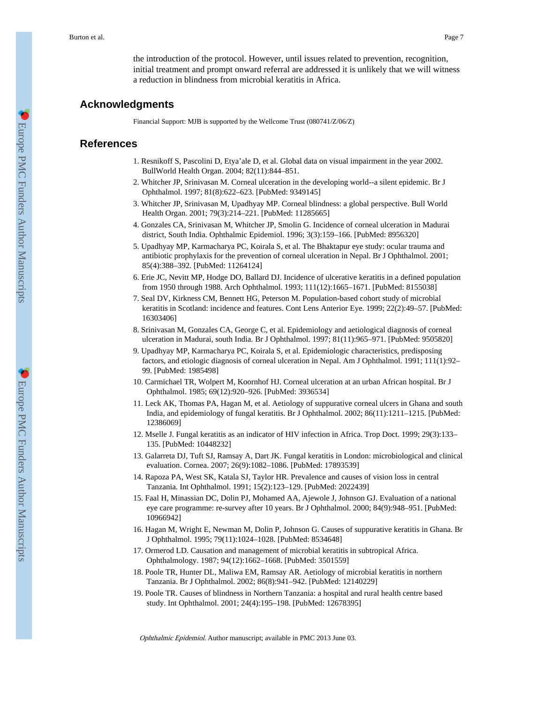the introduction of the protocol. However, until issues related to prevention, recognition, initial treatment and prompt onward referral are addressed it is unlikely that we will witness a reduction in blindness from microbial keratitis in Africa.

# **Acknowledgments**

Financial Support: MJB is supported by the Wellcome Trust (080741/Z/06/Z)

# **References**

- 1. Resnikoff S, Pascolini D, Etya'ale D, et al. Global data on visual impairment in the year 2002. BullWorld Health Organ. 2004; 82(11):844–851.
- 2. Whitcher JP, Srinivasan M. Corneal ulceration in the developing world--a silent epidemic. Br J Ophthalmol. 1997; 81(8):622–623. [PubMed: 9349145]
- 3. Whitcher JP, Srinivasan M, Upadhyay MP. Corneal blindness: a global perspective. Bull World Health Organ. 2001; 79(3):214–221. [PubMed: 11285665]
- 4. Gonzales CA, Srinivasan M, Whitcher JP, Smolin G. Incidence of corneal ulceration in Madurai district, South India. Ophthalmic Epidemiol. 1996; 3(3):159–166. [PubMed: 8956320]
- 5. Upadhyay MP, Karmacharya PC, Koirala S, et al. The Bhaktapur eye study: ocular trauma and antibiotic prophylaxis for the prevention of corneal ulceration in Nepal. Br J Ophthalmol. 2001; 85(4):388–392. [PubMed: 11264124]
- 6. Erie JC, Nevitt MP, Hodge DO, Ballard DJ. Incidence of ulcerative keratitis in a defined population from 1950 through 1988. Arch Ophthalmol. 1993; 111(12):1665–1671. [PubMed: 8155038]
- 7. Seal DV, Kirkness CM, Bennett HG, Peterson M. Population-based cohort study of microbial keratitis in Scotland: incidence and features. Cont Lens Anterior Eye. 1999; 22(2):49–57. [PubMed: 16303406]
- 8. Srinivasan M, Gonzales CA, George C, et al. Epidemiology and aetiological diagnosis of corneal ulceration in Madurai, south India. Br J Ophthalmol. 1997; 81(11):965–971. [PubMed: 9505820]
- 9. Upadhyay MP, Karmacharya PC, Koirala S, et al. Epidemiologic characteristics, predisposing factors, and etiologic diagnosis of corneal ulceration in Nepal. Am J Ophthalmol. 1991; 111(1):92– 99. [PubMed: 1985498]
- 10. Carmichael TR, Wolpert M, Koornhof HJ. Corneal ulceration at an urban African hospital. Br J Ophthalmol. 1985; 69(12):920–926. [PubMed: 3936534]
- 11. Leck AK, Thomas PA, Hagan M, et al. Aetiology of suppurative corneal ulcers in Ghana and south India, and epidemiology of fungal keratitis. Br J Ophthalmol. 2002; 86(11):1211–1215. [PubMed: 12386069]
- 12. Mselle J. Fungal keratitis as an indicator of HIV infection in Africa. Trop Doct. 1999; 29(3):133– 135. [PubMed: 10448232]
- 13. Galarreta DJ, Tuft SJ, Ramsay A, Dart JK. Fungal keratitis in London: microbiological and clinical evaluation. Cornea. 2007; 26(9):1082–1086. [PubMed: 17893539]
- 14. Rapoza PA, West SK, Katala SJ, Taylor HR. Prevalence and causes of vision loss in central Tanzania. Int Ophthalmol. 1991; 15(2):123–129. [PubMed: 2022439]
- 15. Faal H, Minassian DC, Dolin PJ, Mohamed AA, Ajewole J, Johnson GJ. Evaluation of a national eye care programme: re-survey after 10 years. Br J Ophthalmol. 2000; 84(9):948–951. [PubMed: 10966942]
- 16. Hagan M, Wright E, Newman M, Dolin P, Johnson G. Causes of suppurative keratitis in Ghana. Br J Ophthalmol. 1995; 79(11):1024–1028. [PubMed: 8534648]
- 17. Ormerod LD. Causation and management of microbial keratitis in subtropical Africa. Ophthalmology. 1987; 94(12):1662–1668. [PubMed: 3501559]
- 18. Poole TR, Hunter DL, Maliwa EM, Ramsay AR. Aetiology of microbial keratitis in northern Tanzania. Br J Ophthalmol. 2002; 86(8):941–942. [PubMed: 12140229]
- 19. Poole TR. Causes of blindness in Northern Tanzania: a hospital and rural health centre based study. Int Ophthalmol. 2001; 24(4):195–198. [PubMed: 12678395]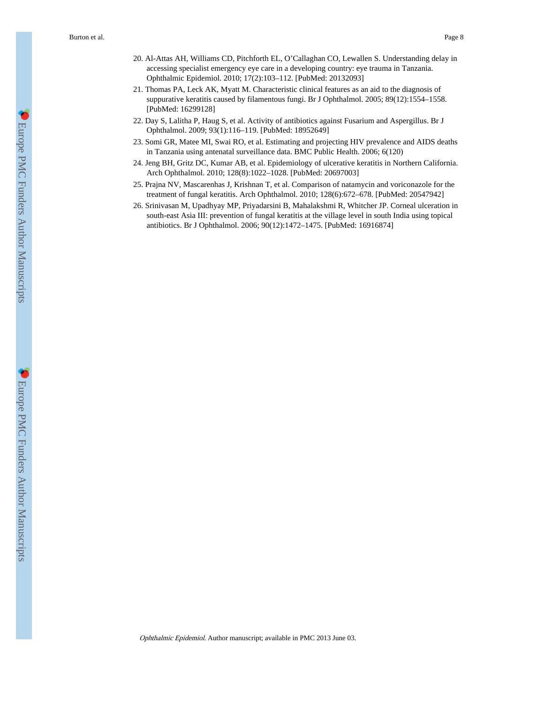- 20. Al-Attas AH, Williams CD, Pitchforth EL, O'Callaghan CO, Lewallen S. Understanding delay in accessing specialist emergency eye care in a developing country: eye trauma in Tanzania. Ophthalmic Epidemiol. 2010; 17(2):103–112. [PubMed: 20132093]
- 21. Thomas PA, Leck AK, Myatt M. Characteristic clinical features as an aid to the diagnosis of suppurative keratitis caused by filamentous fungi. Br J Ophthalmol. 2005; 89(12):1554–1558. [PubMed: 16299128]
- 22. Day S, Lalitha P, Haug S, et al. Activity of antibiotics against Fusarium and Aspergillus. Br J Ophthalmol. 2009; 93(1):116–119. [PubMed: 18952649]
- 23. Somi GR, Matee MI, Swai RO, et al. Estimating and projecting HIV prevalence and AIDS deaths in Tanzania using antenatal surveillance data. BMC Public Health. 2006; 6(120)
- 24. Jeng BH, Gritz DC, Kumar AB, et al. Epidemiology of ulcerative keratitis in Northern California. Arch Ophthalmol. 2010; 128(8):1022–1028. [PubMed: 20697003]
- 25. Prajna NV, Mascarenhas J, Krishnan T, et al. Comparison of natamycin and voriconazole for the treatment of fungal keratitis. Arch Ophthalmol. 2010; 128(6):672–678. [PubMed: 20547942]
- 26. Srinivasan M, Upadhyay MP, Priyadarsini B, Mahalakshmi R, Whitcher JP. Corneal ulceration in south-east Asia III: prevention of fungal keratitis at the village level in south India using topical antibiotics. Br J Ophthalmol. 2006; 90(12):1472–1475. [PubMed: 16916874]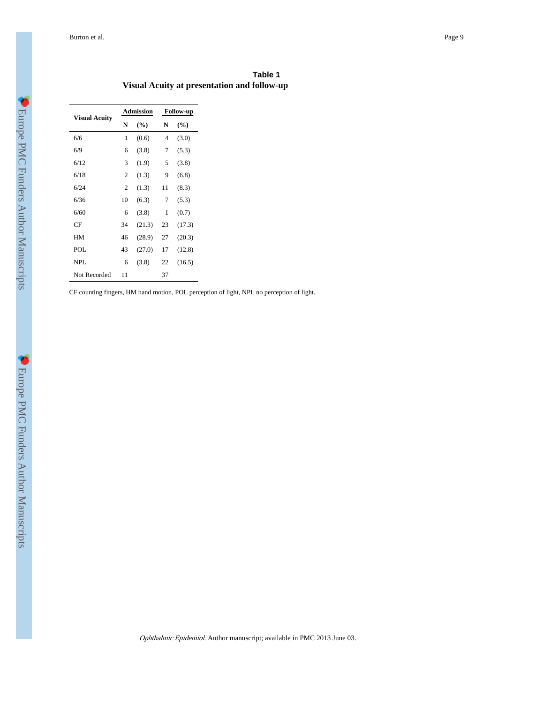Burton et al. Page 9

|                                             | Table 1 |
|---------------------------------------------|---------|
| Visual Acuity at presentation and follow-up |         |

|                           |    | <b>Admission</b> |    | <b>Follow-up</b> |  |
|---------------------------|----|------------------|----|------------------|--|
| <b>Visual Acuity</b><br>N |    | $(\%)$           | N  | $(\%)$           |  |
| 6/6                       | 1  | (0.6)            | 4  | (3.0)            |  |
| 6/9                       | 6  | (3.8)            | 7  | (5.3)            |  |
| 6/12                      | 3  | (1.9)            | 5  | (3.8)            |  |
| 6/18                      | 2  | (1.3)            | 9  | (6.8)            |  |
| 6/24                      | 2  | (1.3)            | 11 | (8.3)            |  |
| 6/36                      | 10 | (6.3)            | 7  | (5.3)            |  |
| 6/60                      | 6  | (3.8)            | 1  | (0.7)            |  |
| CF                        | 34 | (21.3)           | 23 | (17.3)           |  |
| HM                        | 46 | (28.9)           | 27 | (20.3)           |  |
| POL                       | 43 | (27.0)           | 17 | (12.8)           |  |
| NPL                       | 6  | (3.8)            | 22 | (16.5)           |  |
| Not Recorded              | 11 |                  | 37 |                  |  |

CF counting fingers, HM hand motion, POL perception of light, NPL no perception of light.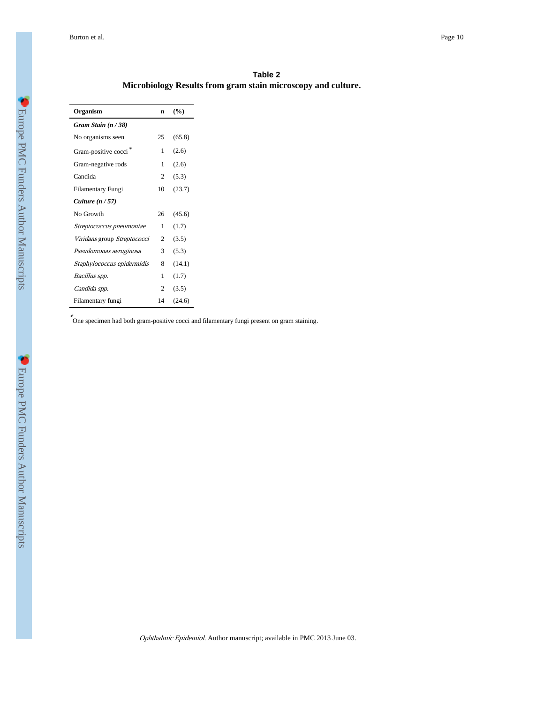|                                                              | Table 2 |  |
|--------------------------------------------------------------|---------|--|
| Microbiology Results from gram stain microscopy and culture. |         |  |

| Organism                         | n              | (%)    |
|----------------------------------|----------------|--------|
| Gram Stain $(n/38)$              |                |        |
| No organisms seen                | 25             | (65.8) |
| Gram-positive cocci <sup>*</sup> | 1              | (2.6)  |
| Gram-negative rods               | 1              | (2.6)  |
| Candida                          | 2              | (5.3)  |
| Filamentary Fungi                | 10             | (23.7) |
| Culture $(n / 57)$               |                |        |
| No Growth                        | 26             | (45.6) |
| Streptococcus pneumoniae         | 1              | (1.7)  |
| Viridans group Streptococci      | $\mathfrak{D}$ | (3.5)  |
| Pseudomonas aeruginosa           | 3              | (5.3)  |
| Staphylococcus epidermidis       | 8              | (14.1) |
| Bacillus spp.                    | 1              | (1.7)  |
| Candida spp.                     | 2              | (3.5)  |
| Filamentary fungi                | 14             | (24.6) |

\* One specimen had both gram-positive cocci and filamentary fungi present on gram staining.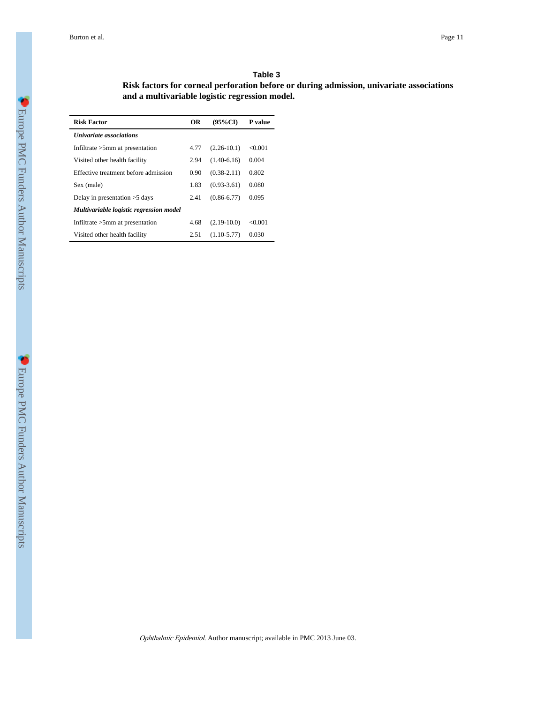#### **Table 3**

**Risk factors for corneal perforation before or during admission, univariate associations and a multivariable logistic regression model.**

| <b>Risk Factor</b>                      | OR   | $(95\%CI)$      | P value |
|-----------------------------------------|------|-----------------|---------|
| <b><i>Univariate associations</i></b>   |      |                 |         |
| Infiltrate $>5$ mm at presentation      | 4.77 | $(2.26 - 10.1)$ | < 0.001 |
| Visited other health facility           | 2.94 | $(1.40-6.16)$   | 0.004   |
| Effective treatment before admission    | 0.90 | $(0.38 - 2.11)$ | 0.802   |
| Sex (male)                              | 1.83 | $(0.93 - 3.61)$ | 0.080   |
| Delay in presentation $>5$ days         | 2.41 | $(0.86 - 6.77)$ | 0.095   |
| Multivariable logistic regression model |      |                 |         |
| Infiltrate $>5$ mm at presentation      | 4.68 | $(2.19-10.0)$   | < 0.001 |
| Visited other health facility           | 2.51 | $(1.10 - 5.77)$ | 0.030   |